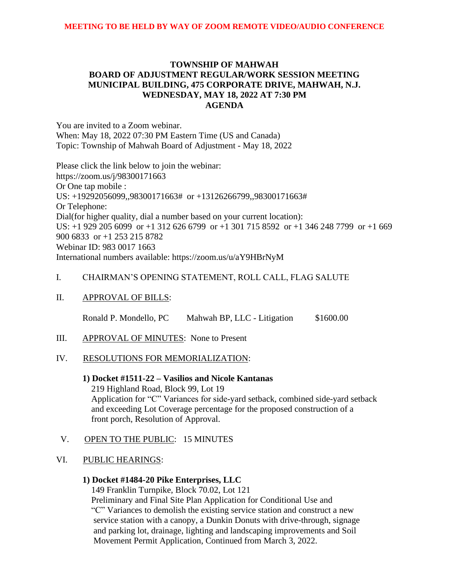## **TOWNSHIP OF MAHWAH BOARD OF ADJUSTMENT REGULAR/WORK SESSION MEETING MUNICIPAL BUILDING, 475 CORPORATE DRIVE, MAHWAH, N.J. WEDNESDAY, MAY 18, 2022 AT 7:30 PM AGENDA**

You are invited to a Zoom webinar. When: May 18, 2022 07:30 PM Eastern Time (US and Canada) Topic: Township of Mahwah Board of Adjustment - May 18, 2022

Please click the link below to join the webinar: https://zoom.us/j/98300171663 Or One tap mobile : US: +19292056099,,98300171663# or +13126266799,,98300171663# Or Telephone: Dial(for higher quality, dial a number based on your current location): US: +1 929 205 6099 or +1 312 626 6799 or +1 301 715 8592 or +1 346 248 7799 or +1 669 900 6833 or +1 253 215 8782 Webinar ID: 983 0017 1663 International numbers available: https://zoom.us/u/aY9HBrNyM

# I. CHAIRMAN'S OPENING STATEMENT, ROLL CALL, FLAG SALUTE

### II. APPROVAL OF BILLS:

Ronald P. Mondello, PC Mahwah BP, LLC - Litigation \$1600.00

III. APPROVAL OF MINUTES: None to Present

### IV. RESOLUTIONS FOR MEMORIALIZATION:

### **1) Docket #1511-22 – Vasilios and Nicole Kantanas**

219 Highland Road, Block 99, Lot 19 Application for "C" Variances for side-yard setback, combined side-yard setback and exceeding Lot Coverage percentage for the proposed construction of a front porch, Resolution of Approval.

V. OPEN TO THE PUBLIC: 15 MINUTES

### VI. PUBLIC HEARINGS:

# **1) Docket #1484-20 Pike Enterprises, LLC**

149 Franklin Turnpike, Block 70.02, Lot 121

Preliminary and Final Site Plan Application for Conditional Use and "C" Variances to demolish the existing service station and construct a new service station with a canopy, a Dunkin Donuts with drive-through, signage and parking lot, drainage, lighting and landscaping improvements and Soil Movement Permit Application, Continued from March 3, 2022.